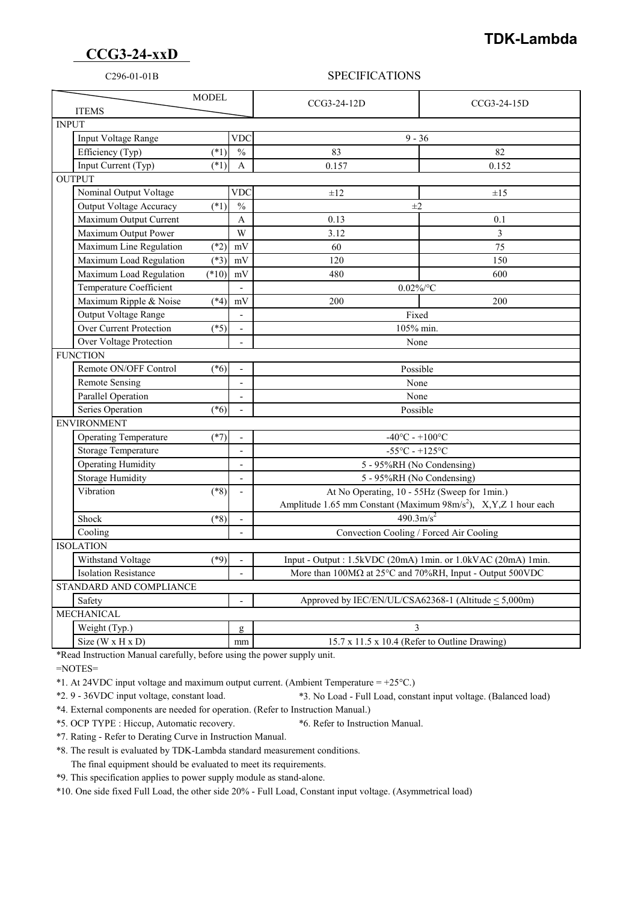## **CCG3-24-xxD**

## **TDK-Lambda**

### C296-01-01B SPECIFICATIONS

| <b>MODEL</b><br><b>ITEMS</b>           |                          | CCG3-24-12D                                                                                                                 | CCG3-24-15D |
|----------------------------------------|--------------------------|-----------------------------------------------------------------------------------------------------------------------------|-------------|
| <b>INPUT</b>                           |                          |                                                                                                                             |             |
| Input Voltage Range                    | <b>VDC</b>               | $9 - 36$                                                                                                                    |             |
| Efficiency (Typ)<br>$(*1)$             | $\frac{0}{0}$            | 83                                                                                                                          | 82          |
| Input Current (Typ)<br>$(*1)$          | A                        | 0.157                                                                                                                       | 0.152       |
| <b>OUTPUT</b>                          |                          |                                                                                                                             |             |
| Nominal Output Voltage                 | VDC                      | $\pm 12$                                                                                                                    | $\pm 15$    |
| $(*1)$<br>Output Voltage Accuracy      | $\frac{0}{0}$            | $\pm 2$                                                                                                                     |             |
| Maximum Output Current                 | A                        | 0.13                                                                                                                        | 0.1         |
| Maximum Output Power                   | W                        | 3.12                                                                                                                        | 3           |
| Maximum Line Regulation<br>$(*2)$      | mV                       | 60                                                                                                                          | 75          |
| Maximum Load Regulation<br>$(*3)$      | mV                       | 120                                                                                                                         | 150         |
| Maximum Load Regulation<br>$(*10)$     | mV                       | 480                                                                                                                         | 600         |
| Temperature Coefficient                |                          | $0.02\%$ /°C                                                                                                                |             |
| Maximum Ripple & Noise<br>$(*4)$       | mV                       | 200                                                                                                                         | 200         |
| Output Voltage Range                   | $\overline{\phantom{a}}$ | Fixed                                                                                                                       |             |
| Over Current Protection<br>$(*5)$      |                          | 105% min.                                                                                                                   |             |
| Over Voltage Protection                | $\blacksquare$           | None                                                                                                                        |             |
| <b>FUNCTION</b>                        |                          |                                                                                                                             |             |
| Remote ON/OFF Control<br>$(*6)$        | $\overline{a}$           | Possible                                                                                                                    |             |
| <b>Remote Sensing</b>                  | $\blacksquare$           | None                                                                                                                        |             |
| Parallel Operation                     |                          | None                                                                                                                        |             |
| Series Operation<br>$(*6)$             |                          | Possible                                                                                                                    |             |
| <b>ENVIRONMENT</b>                     |                          |                                                                                                                             |             |
| <b>Operating Temperature</b><br>$(*7)$ |                          | $-40^{\circ}$ C - $+100^{\circ}$ C                                                                                          |             |
| Storage Temperature                    | $\overline{\phantom{a}}$ | $-55^{\circ}$ C - $+125^{\circ}$ C                                                                                          |             |
| <b>Operating Humidity</b>              | $\overline{\phantom{a}}$ | 5 - 95%RH (No Condensing)                                                                                                   |             |
| <b>Storage Humidity</b>                | $\overline{a}$           | 5 - 95%RH (No Condensing)                                                                                                   |             |
| Vibration<br>$(*8)$                    |                          | At No Operating, 10 - 55Hz (Sweep for 1min.)<br>Amplitude 1.65 mm Constant (Maximum 98m/s <sup>2</sup> ), X,Y,Z 1 hour each |             |
|                                        |                          |                                                                                                                             |             |
| Shock<br>$(*8)$                        |                          | $490.3 \text{m/s}^2$                                                                                                        |             |
| Cooling                                | $\blacksquare$           | Convection Cooling / Forced Air Cooling                                                                                     |             |
| <b>ISOLATION</b>                       |                          |                                                                                                                             |             |
| Withstand Voltage<br>$(*9)$            | $\overline{a}$           | Input - Output : 1.5kVDC (20mA) 1min. or 1.0kVAC (20mA) 1min.                                                               |             |
| <b>Isolation Resistance</b>            |                          | More than 100MΩ at 25°C and 70%RH, Input - Output 500VDC                                                                    |             |
| STANDARD AND COMPLIANCE                |                          |                                                                                                                             |             |
| Safety                                 |                          | Approved by IEC/EN/UL/CSA62368-1 (Altitude < 5,000m)                                                                        |             |
| <b>MECHANICAL</b>                      |                          |                                                                                                                             |             |
| Weight (Typ.)                          | g                        | 3                                                                                                                           |             |
| Size ( $W \times H \times D$ )         | mm                       | 15.7 x 11.5 x 10.4 (Refer to Outline Drawing)                                                                               |             |

\*Read Instruction Manual carefully, before using the power supply unit.

=NOTES=

\*1. At 24VDC input voltage and maximum output current. (Ambient Temperature = +25°C.)

\*2. 9 - 36VDC input voltage, constant load. \*3. No Load - Full Load, constant input voltage. (Balanced load)

\*4. External components are needed for operation. (Refer to Instruction Manual.)

\*5. OCP TYPE : Hiccup, Automatic recovery. \*6. Refer to Instruction Manual.

\*7. Rating - Refer to Derating Curve in Instruction Manual.

\*8. The result is evaluated by TDK-Lambda standard measurement conditions.

The final equipment should be evaluated to meet its requirements.

\*9. This specification applies to power supply module as stand-alone.

\*10. One side fixed Full Load, the other side 20% - Full Load, Constant input voltage. (Asymmetrical load)